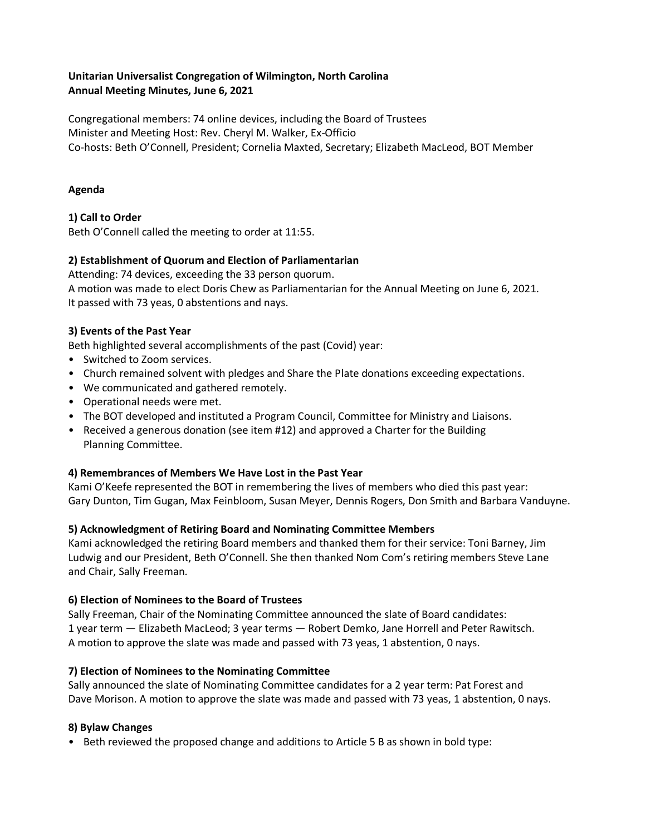# **Unitarian Universalist Congregation of Wilmington, North Carolina Annual Meeting Minutes, June 6, 2021**

Congregational members: 74 online devices, including the Board of Trustees Minister and Meeting Host: Rev. Cheryl M. Walker, Ex-Officio Co-hosts: Beth O'Connell, President; Cornelia Maxted, Secretary; Elizabeth MacLeod, BOT Member

#### **Agenda**

# **1) Call to Order**

Beth O'Connell called the meeting to order at 11:55.

# **2) Establishment of Quorum and Election of Parliamentarian**

Attending: 74 devices, exceeding the 33 person quorum.

A motion was made to elect Doris Chew as Parliamentarian for the Annual Meeting on June 6, 2021. It passed with 73 yeas, 0 abstentions and nays.

# **3) Events of the Past Year**

Beth highlighted several accomplishments of the past (Covid) year:

- Switched to Zoom services.
- Church remained solvent with pledges and Share the Plate donations exceeding expectations.
- We communicated and gathered remotely.
- Operational needs were met.
- The BOT developed and instituted a Program Council, Committee for Ministry and Liaisons.
- Received a generous donation (see item #12) and approved a Charter for the Building Planning Committee.

# **4) Remembrances of Members We Have Lost in the Past Year**

Kami O'Keefe represented the BOT in remembering the lives of members who died this past year: Gary Dunton, Tim Gugan, Max Feinbloom, Susan Meyer, Dennis Rogers, Don Smith and Barbara Vanduyne.

# **5) Acknowledgment of Retiring Board and Nominating Committee Members**

Kami acknowledged the retiring Board members and thanked them for their service: Toni Barney, Jim Ludwig and our President, Beth O'Connell. She then thanked Nom Com's retiring members Steve Lane and Chair, Sally Freeman.

# **6) Election of Nominees to the Board of Trustees**

Sally Freeman, Chair of the Nominating Committee announced the slate of Board candidates: 1 year term — Elizabeth MacLeod; 3 year terms — Robert Demko, Jane Horrell and Peter Rawitsch. A motion to approve the slate was made and passed with 73 yeas, 1 abstention, 0 nays.

# **7) Election of Nominees to the Nominating Committee**

Sally announced the slate of Nominating Committee candidates for a 2 year term: Pat Forest and Dave Morison. A motion to approve the slate was made and passed with 73 yeas, 1 abstention, 0 nays.

# **8) Bylaw Changes**

• Beth reviewed the proposed change and additions to Article 5 B as shown in bold type: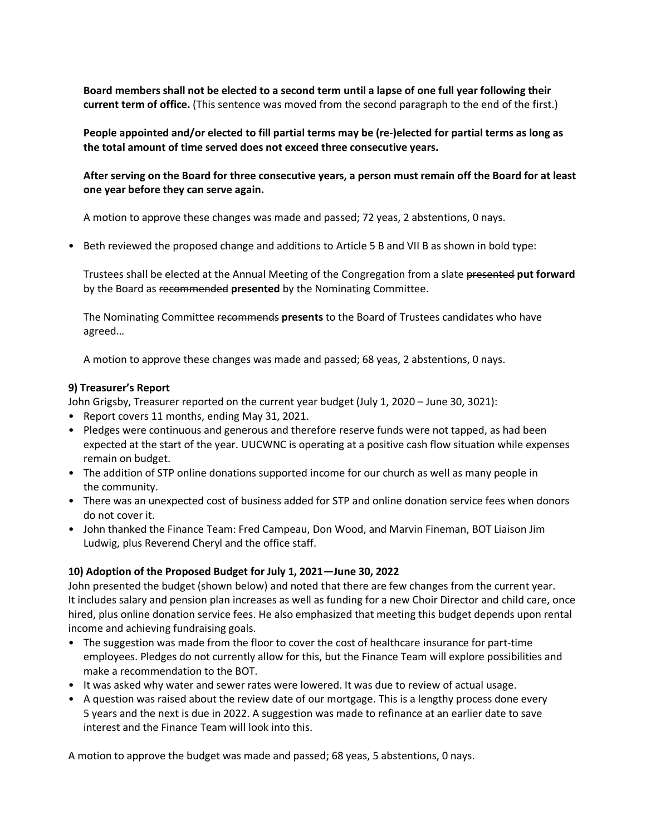**Board members shall not be elected to a second term until a lapse of one full year following their current term of office.** (This sentence was moved from the second paragraph to the end of the first.)

**People appointed and/or elected to fill partial terms may be (re-)elected for partial terms as long as the total amount of time served does not exceed three consecutive years.**

**After serving on the Board for three consecutive years, a person must remain off the Board for at least one year before they can serve again.** 

A motion to approve these changes was made and passed; 72 yeas, 2 abstentions, 0 nays.

• Beth reviewed the proposed change and additions to Article 5 B and VII B as shown in bold type:

Trustees shall be elected at the Annual Meeting of the Congregation from a slate presented **put forward**  by the Board as recommended **presented** by the Nominating Committee.

The Nominating Committee recommends **presents** to the Board of Trustees candidates who have agreed…

A motion to approve these changes was made and passed; 68 yeas, 2 abstentions, 0 nays.

#### **9) Treasurer's Report**

John Grigsby, Treasurer reported on the current year budget (July 1, 2020 – June 30, 3021):

- Report covers 11 months, ending May 31, 2021.
- Pledges were continuous and generous and therefore reserve funds were not tapped, as had been expected at the start of the year. UUCWNC is operating at a positive cash flow situation while expenses remain on budget.
- The addition of STP online donations supported income for our church as well as many people in the community.
- There was an unexpected cost of business added for STP and online donation service fees when donors do not cover it.
- John thanked the Finance Team: Fred Campeau, Don Wood, and Marvin Fineman, BOT Liaison Jim Ludwig, plus Reverend Cheryl and the office staff.

#### **10) Adoption of the Proposed Budget for July 1, 2021—June 30, 2022**

John presented the budget (shown below) and noted that there are few changes from the current year. It includes salary and pension plan increases as well as funding for a new Choir Director and child care, once hired, plus online donation service fees. He also emphasized that meeting this budget depends upon rental income and achieving fundraising goals.

- The suggestion was made from the floor to cover the cost of healthcare insurance for part-time employees. Pledges do not currently allow for this, but the Finance Team will explore possibilities and make a recommendation to the BOT.
- It was asked why water and sewer rates were lowered. It was due to review of actual usage.
- A question was raised about the review date of our mortgage. This is a lengthy process done every 5 years and the next is due in 2022. A suggestion was made to refinance at an earlier date to save interest and the Finance Team will look into this.

A motion to approve the budget was made and passed; 68 yeas, 5 abstentions, 0 nays.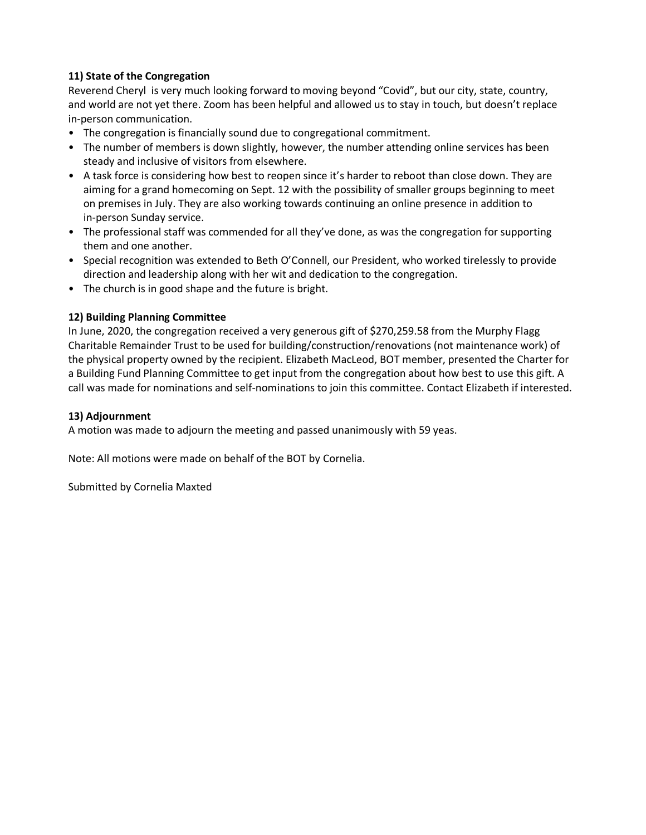## **11) State of the Congregation**

Reverend Cheryl is very much looking forward to moving beyond "Covid", but our city, state, country, and world are not yet there. Zoom has been helpful and allowed us to stay in touch, but doesn't replace in-person communication.

- The congregation is financially sound due to congregational commitment.
- The number of members is down slightly, however, the number attending online services has been steady and inclusive of visitors from elsewhere.
- A task force is considering how best to reopen since it's harder to reboot than close down. They are aiming for a grand homecoming on Sept. 12 with the possibility of smaller groups beginning to meet on premises in July. They are also working towards continuing an online presence in addition to in-person Sunday service.
- The professional staff was commended for all they've done, as was the congregation for supporting them and one another.
- Special recognition was extended to Beth O'Connell, our President, who worked tirelessly to provide direction and leadership along with her wit and dedication to the congregation.
- The church is in good shape and the future is bright.

#### **12) Building Planning Committee**

In June, 2020, the congregation received a very generous gift of \$270,259.58 from the Murphy Flagg Charitable Remainder Trust to be used for building/construction/renovations (not maintenance work) of the physical property owned by the recipient. Elizabeth MacLeod, BOT member, presented the Charter for a Building Fund Planning Committee to get input from the congregation about how best to use this gift. A call was made for nominations and self-nominations to join this committee. Contact Elizabeth if interested.

#### **13) Adjournment**

A motion was made to adjourn the meeting and passed unanimously with 59 yeas.

Note: All motions were made on behalf of the BOT by Cornelia.

Submitted by Cornelia Maxted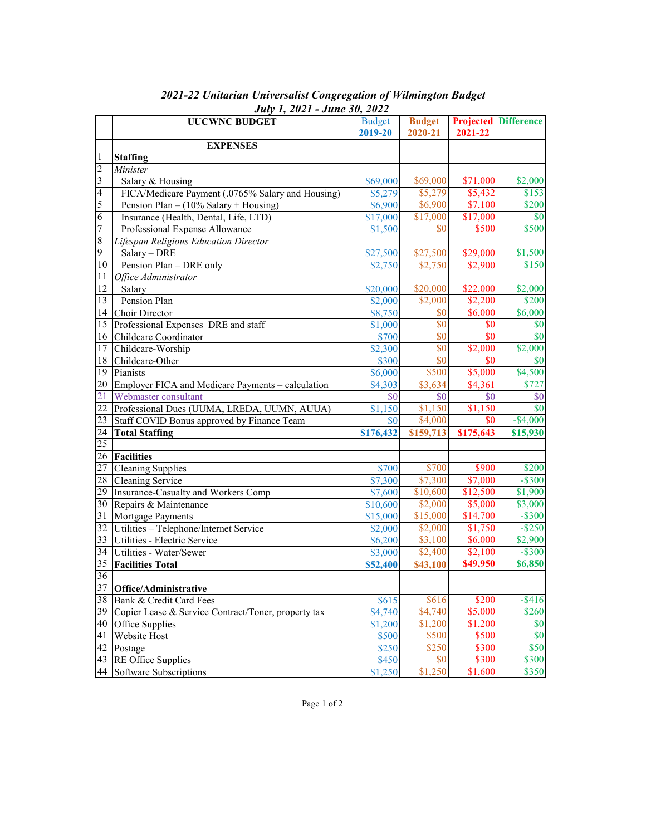|                         | <b>UUCWNC BUDGET</b>                                | <b>Budget</b> | <b>Budget</b> |           | <b>Projected Difference</b> |
|-------------------------|-----------------------------------------------------|---------------|---------------|-----------|-----------------------------|
|                         |                                                     | 2019-20       | 2020-21       | 2021-22   |                             |
|                         | <b>EXPENSES</b>                                     |               |               |           |                             |
| 1                       | <b>Staffing</b>                                     |               |               |           |                             |
| $\overline{2}$          | Minister                                            |               |               |           |                             |
| 3                       | Salary & Housing                                    | \$69,000      | \$69,000      | \$71,000  | \$2,000                     |
| $\overline{\mathbf{4}}$ | FICA/Medicare Payment (.0765% Salary and Housing)   | \$5,279       | \$5,279       | \$5,432   | \$153                       |
| 5                       | Pension Plan $- (10\%$ Salary + Housing)            | \$6,900       | \$6,900       | \$7,100   | \$200                       |
| $\overline{6}$          | Insurance (Health, Dental, Life, LTD)               | \$17,000      | \$17,000      | \$17,000  | \$0                         |
| $\overline{7}$          | Professional Expense Allowance                      | \$1,500       | \$0           | \$500     | \$500                       |
| $\overline{8}$          | Lifespan Religious Education Director               |               |               |           |                             |
| 9                       | Salary - DRE                                        | \$27,500      | \$27,500      | \$29,000  | \$1,500                     |
| 10                      | Pension Plan - DRE only                             | \$2,750       | \$2,750       | \$2,900   | \$150                       |
| 11                      | Office Administrator                                |               |               |           |                             |
| 12                      | Salary                                              | \$20,000      | \$20,000      | \$22,000  | \$2,000                     |
| 13                      | Pension Plan                                        | \$2,000       | \$2,000       | \$2,200   | \$200                       |
| 14                      | Choir Director                                      | \$8,750       | \$0           | \$6,000   | \$6,000                     |
| 15                      | Professional Expenses DRE and staff                 | \$1,000       | \$0           | \$0       | \$0                         |
| 16                      | Childcare Coordinator                               | \$700         | \$0           | \$0       | $\overline{\$0}$            |
| 17                      | Childcare-Worship                                   | \$2,300       | \$0           | \$2,000   | \$2,000                     |
| 18                      | Childcare-Other                                     | \$300         | \$0           | \$0       | \$0                         |
| 19                      | Pianists                                            | \$6,000       | \$500         | \$5,000   | \$4,500                     |
| 20                      | Employer FICA and Medicare Payments - calculation   | \$4,303       | \$3,634       | \$4,361   | \$727                       |
| 21                      | Webmaster consultant                                | \$0           | \$0           | \$0       | \$0                         |
| 22                      | Professional Dues (UUMA, LREDA, UUMN, AUUA)         | \$1,150       | \$1,150       | \$1,150   | \$0                         |
| 23                      | Staff COVID Bonus approved by Finance Team          | \$0           | \$4,000       | \$0       | $-$4,000$                   |
| 24                      | <b>Total Staffing</b>                               | \$176,432     | \$159,713     | \$175,643 | \$15,930                    |
| 25                      |                                                     |               |               |           |                             |
| 26                      | Facilities                                          |               |               |           |                             |
| 27                      | Cleaning Supplies                                   | \$700         | \$700         | \$900     | \$200                       |
| 28                      | Cleaning Service                                    | \$7,300       | \$7,300       | \$7,000   | $-$ \$300                   |
| 29                      | Insurance-Casualty and Workers Comp                 | \$7,600       | \$10,600      | \$12,500  | \$1,900                     |
| 30                      | Repairs & Maintenance                               | \$10,600      | \$2,000       | \$5,000   | \$3,000                     |
| 31                      | Mortgage Payments                                   | \$15,000      | \$15,000      | \$14,700  | $-$ \$300                   |
| 32                      | Utilities - Telephone/Internet Service              | \$2,000       | \$2,000       | \$1,750   | $-$ \$250                   |
| 33                      | Utilities - Electric Service                        | \$6,200       | \$3,100       | \$6,000   | \$2,900                     |
| 34                      | Utilities - Water/Sewer                             | \$3,000       | \$2,400       | \$2,100   | $-$ \$300                   |
| 35                      | <b>Facilities Total</b>                             | \$52,400      | \$43,100      | \$49,950  | \$6,850                     |
| 36                      |                                                     |               |               |           |                             |
|                         | 37 Office/Administrative                            |               |               |           |                             |
|                         | 38 Bank & Credit Card Fees                          | \$615         | \$616         | \$200     | $-$ \$416                   |
| 39                      | Copier Lease & Service Contract/Toner, property tax | \$4,740       | \$4,740       | \$5,000   | \$260                       |
| 40                      | Office Supplies                                     | \$1,200       | \$1,200       | \$1,200   | \$0                         |
| 41                      | Website Host                                        | \$500         | \$500         | \$500     | \$0                         |
| 42                      | Postage                                             | \$250         | \$250         | \$300     | \$50                        |
|                         | 43 RE Office Supplies                               | \$450         | \$0           | \$300     | \$300                       |
| 44                      | Software Subscriptions                              | \$1,250       | \$1,250       | \$1,600   | \$350                       |

 *2021-22 Unitarian Universalist Congregation of Wilmington Budget July 1, 2021 - June 30, 2022*